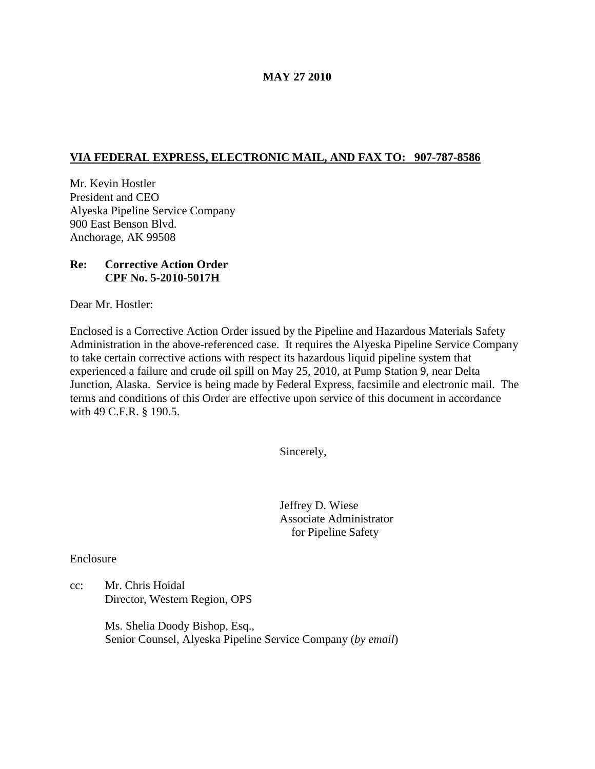### **MAY 27 2010**

# **VIA FEDERAL EXPRESS, ELECTRONIC MAIL, AND FAX TO: 907-787-8586**

Mr. Kevin Hostler President and CEO Alyeska Pipeline Service Company 900 East Benson Blvd. Anchorage, AK 99508

# **Re: Corrective Action Order CPF No. 5-2010-5017H**

Dear Mr. Hostler:

Enclosed is a Corrective Action Order issued by the Pipeline and Hazardous Materials Safety Administration in the above-referenced case. It requires the Alyeska Pipeline Service Company to take certain corrective actions with respect its hazardous liquid pipeline system that experienced a failure and crude oil spill on May 25, 2010, at Pump Station 9, near Delta Junction, Alaska. Service is being made by Federal Express, facsimile and electronic mail. The terms and conditions of this Order are effective upon service of this document in accordance with 49 C.F.R. § 190.5.

Sincerely,

Jeffrey D. Wiese Associate Administrator for Pipeline Safety

Enclosure

cc: Mr. Chris Hoidal Director, Western Region, OPS

> Ms. Shelia Doody Bishop, Esq., Senior Counsel, Alyeska Pipeline Service Company (*by email*)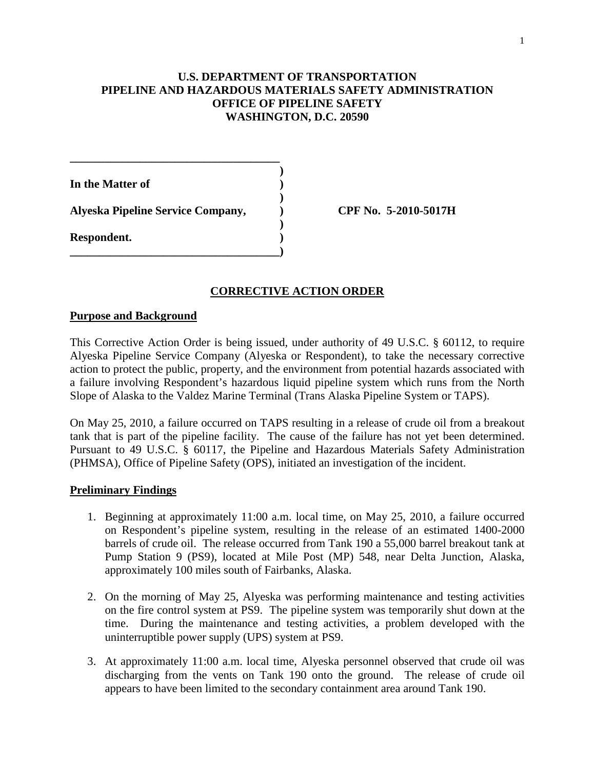## **U.S. DEPARTMENT OF TRANSPORTATION PIPELINE AND HAZARDOUS MATERIALS SAFETY ADMINISTRATION OFFICE OF PIPELINE SAFETY WASHINGTON, D.C. 20590**

**) In the Matter of ) ) Alyeska Pipeline Service Company, ) CPF No. 5-2010-5017H ) Respondent. ) \_\_\_\_\_\_\_\_\_\_\_\_\_\_\_\_\_\_\_\_\_\_\_\_\_\_\_\_\_\_\_\_\_\_\_\_)**

**\_\_\_\_\_\_\_\_\_\_\_\_\_\_\_\_\_\_\_\_\_\_\_\_\_\_\_\_\_\_\_\_\_\_\_\_**

### **CORRECTIVE ACTION ORDER**

#### **Purpose and Background**

This Corrective Action Order is being issued, under authority of 49 U.S.C. § 60112, to require Alyeska Pipeline Service Company (Alyeska or Respondent), to take the necessary corrective action to protect the public, property, and the environment from potential hazards associated with a failure involving Respondent's hazardous liquid pipeline system which runs from the North Slope of Alaska to the Valdez Marine Terminal (Trans Alaska Pipeline System or TAPS).

On May 25, 2010, a failure occurred on TAPS resulting in a release of crude oil from a breakout tank that is part of the pipeline facility. The cause of the failure has not yet been determined. Pursuant to 49 U.S.C. § 60117, the Pipeline and Hazardous Materials Safety Administration (PHMSA), Office of Pipeline Safety (OPS), initiated an investigation of the incident.

#### **Preliminary Findings**

- 1. Beginning at approximately 11:00 a.m. local time, on May 25, 2010, a failure occurred on Respondent's pipeline system, resulting in the release of an estimated 1400-2000 barrels of crude oil. The release occurred from Tank 190 a 55,000 barrel breakout tank at Pump Station 9 (PS9), located at Mile Post (MP) 548, near Delta Junction, Alaska, approximately 100 miles south of Fairbanks, Alaska.
- 2. On the morning of May 25, Alyeska was performing maintenance and testing activities on the fire control system at PS9. The pipeline system was temporarily shut down at the time. During the maintenance and testing activities, a problem developed with the uninterruptible power supply (UPS) system at PS9.
- 3. At approximately 11:00 a.m. local time, Alyeska personnel observed that crude oil was discharging from the vents on Tank 190 onto the ground. The release of crude oil appears to have been limited to the secondary containment area around Tank 190.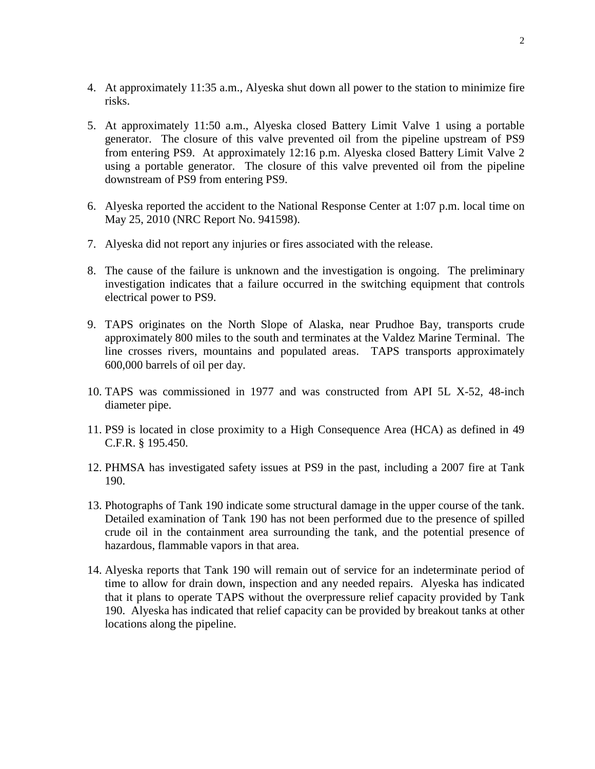- 4. At approximately 11:35 a.m., Alyeska shut down all power to the station to minimize fire risks.
- 5. At approximately 11:50 a.m., Alyeska closed Battery Limit Valve 1 using a portable generator. The closure of this valve prevented oil from the pipeline upstream of PS9 from entering PS9. At approximately 12:16 p.m. Alyeska closed Battery Limit Valve 2 using a portable generator. The closure of this valve prevented oil from the pipeline downstream of PS9 from entering PS9.
- 6. Alyeska reported the accident to the National Response Center at 1:07 p.m. local time on May 25, 2010 (NRC Report No. 941598).
- 7. Alyeska did not report any injuries or fires associated with the release.
- 8. The cause of the failure is unknown and the investigation is ongoing. The preliminary investigation indicates that a failure occurred in the switching equipment that controls electrical power to PS9.
- 9. TAPS originates on the North Slope of Alaska, near Prudhoe Bay, transports crude approximately 800 miles to the south and terminates at the Valdez Marine Terminal. The line crosses rivers, mountains and populated areas. TAPS transports approximately 600,000 barrels of oil per day.
- 10. TAPS was commissioned in 1977 and was constructed from API 5L X-52, 48-inch diameter pipe.
- 11. PS9 is located in close proximity to a High Consequence Area (HCA) as defined in 49 C.F.R. § 195.450.
- 12. PHMSA has investigated safety issues at PS9 in the past, including a 2007 fire at Tank 190.
- 13. Photographs of Tank 190 indicate some structural damage in the upper course of the tank. Detailed examination of Tank 190 has not been performed due to the presence of spilled crude oil in the containment area surrounding the tank, and the potential presence of hazardous, flammable vapors in that area.
- 14. Alyeska reports that Tank 190 will remain out of service for an indeterminate period of time to allow for drain down, inspection and any needed repairs. Alyeska has indicated that it plans to operate TAPS without the overpressure relief capacity provided by Tank 190. Alyeska has indicated that relief capacity can be provided by breakout tanks at other locations along the pipeline.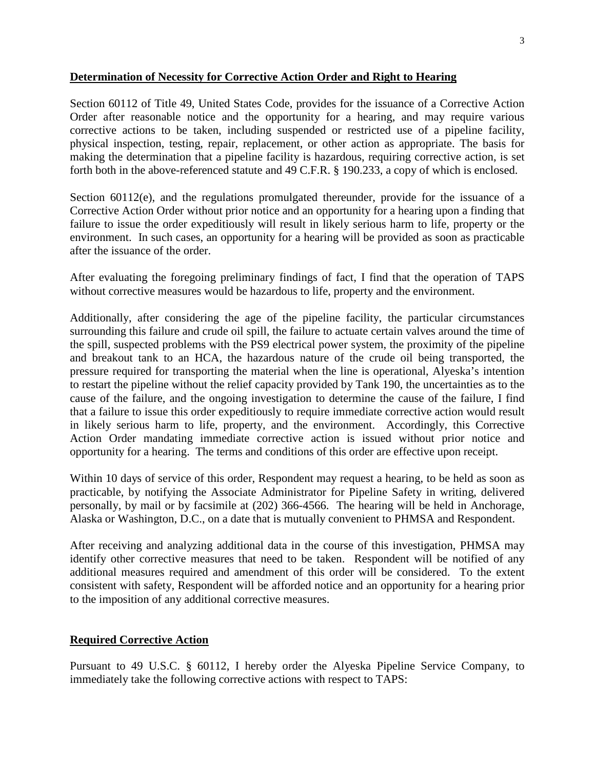#### **Determination of Necessity for Corrective Action Order and Right to Hearing**

Section 60112 of Title 49, United States Code, provides for the issuance of a Corrective Action Order after reasonable notice and the opportunity for a hearing, and may require various corrective actions to be taken, including suspended or restricted use of a pipeline facility, physical inspection, testing, repair, replacement, or other action as appropriate. The basis for making the determination that a pipeline facility is hazardous, requiring corrective action, is set forth both in the above-referenced statute and 49 C.F.R. § 190.233, a copy of which is enclosed.

Section 60112(e), and the regulations promulgated thereunder, provide for the issuance of a Corrective Action Order without prior notice and an opportunity for a hearing upon a finding that failure to issue the order expeditiously will result in likely serious harm to life, property or the environment. In such cases, an opportunity for a hearing will be provided as soon as practicable after the issuance of the order.

After evaluating the foregoing preliminary findings of fact, I find that the operation of TAPS without corrective measures would be hazardous to life, property and the environment.

Additionally, after considering the age of the pipeline facility, the particular circumstances surrounding this failure and crude oil spill, the failure to actuate certain valves around the time of the spill, suspected problems with the PS9 electrical power system, the proximity of the pipeline and breakout tank to an HCA, the hazardous nature of the crude oil being transported, the pressure required for transporting the material when the line is operational, Alyeska's intention to restart the pipeline without the relief capacity provided by Tank 190, the uncertainties as to the cause of the failure, and the ongoing investigation to determine the cause of the failure, I find that a failure to issue this order expeditiously to require immediate corrective action would result in likely serious harm to life, property, and the environment. Accordingly, this Corrective Action Order mandating immediate corrective action is issued without prior notice and opportunity for a hearing. The terms and conditions of this order are effective upon receipt.

Within 10 days of service of this order, Respondent may request a hearing, to be held as soon as practicable, by notifying the Associate Administrator for Pipeline Safety in writing, delivered personally, by mail or by facsimile at (202) 366-4566. The hearing will be held in Anchorage, Alaska or Washington, D.C., on a date that is mutually convenient to PHMSA and Respondent.

After receiving and analyzing additional data in the course of this investigation, PHMSA may identify other corrective measures that need to be taken. Respondent will be notified of any additional measures required and amendment of this order will be considered. To the extent consistent with safety, Respondent will be afforded notice and an opportunity for a hearing prior to the imposition of any additional corrective measures.

### **Required Corrective Action**

Pursuant to 49 U.S.C. § 60112, I hereby order the Alyeska Pipeline Service Company, to immediately take the following corrective actions with respect to TAPS: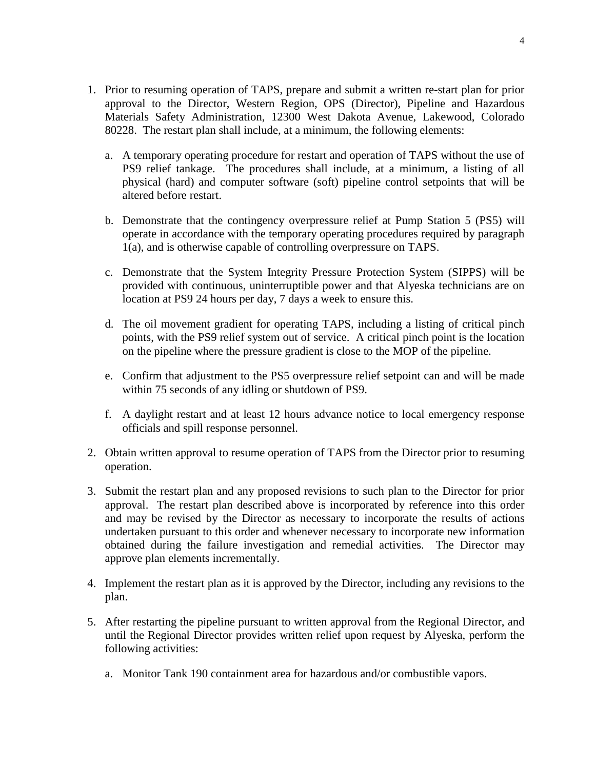- 1. Prior to resuming operation of TAPS, prepare and submit a written re-start plan for prior approval to the Director, Western Region, OPS (Director), Pipeline and Hazardous Materials Safety Administration, 12300 West Dakota Avenue, Lakewood, Colorado 80228. The restart plan shall include, at a minimum, the following elements:
	- a. A temporary operating procedure for restart and operation of TAPS without the use of PS9 relief tankage. The procedures shall include, at a minimum, a listing of all physical (hard) and computer software (soft) pipeline control setpoints that will be altered before restart.
	- b. Demonstrate that the contingency overpressure relief at Pump Station 5 (PS5) will operate in accordance with the temporary operating procedures required by paragraph 1(a), and is otherwise capable of controlling overpressure on TAPS.
	- c. Demonstrate that the System Integrity Pressure Protection System (SIPPS) will be provided with continuous, uninterruptible power and that Alyeska technicians are on location at PS9 24 hours per day, 7 days a week to ensure this.
	- d. The oil movement gradient for operating TAPS, including a listing of critical pinch points, with the PS9 relief system out of service. A critical pinch point is the location on the pipeline where the pressure gradient is close to the MOP of the pipeline.
	- e. Confirm that adjustment to the PS5 overpressure relief setpoint can and will be made within 75 seconds of any idling or shutdown of PS9.
	- f. A daylight restart and at least 12 hours advance notice to local emergency response officials and spill response personnel.
- 2. Obtain written approval to resume operation of TAPS from the Director prior to resuming operation.
- 3. Submit the restart plan and any proposed revisions to such plan to the Director for prior approval. The restart plan described above is incorporated by reference into this order and may be revised by the Director as necessary to incorporate the results of actions undertaken pursuant to this order and whenever necessary to incorporate new information obtained during the failure investigation and remedial activities. The Director may approve plan elements incrementally.
- 4. Implement the restart plan as it is approved by the Director, including any revisions to the plan.
- 5. After restarting the pipeline pursuant to written approval from the Regional Director, and until the Regional Director provides written relief upon request by Alyeska, perform the following activities:
	- a. Monitor Tank 190 containment area for hazardous and/or combustible vapors.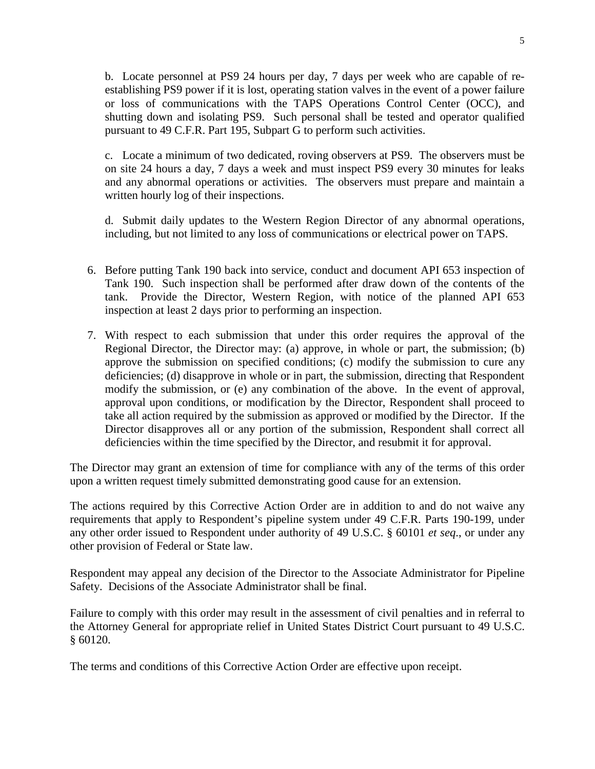b. Locate personnel at PS9 24 hours per day, 7 days per week who are capable of reestablishing PS9 power if it is lost, operating station valves in the event of a power failure or loss of communications with the TAPS Operations Control Center (OCC), and shutting down and isolating PS9. Such personal shall be tested and operator qualified pursuant to 49 C.F.R. Part 195, Subpart G to perform such activities.

c. Locate a minimum of two dedicated, roving observers at PS9. The observers must be on site 24 hours a day, 7 days a week and must inspect PS9 every 30 minutes for leaks and any abnormal operations or activities. The observers must prepare and maintain a written hourly log of their inspections.

d. Submit daily updates to the Western Region Director of any abnormal operations, including, but not limited to any loss of communications or electrical power on TAPS.

- 6. Before putting Tank 190 back into service, conduct and document API 653 inspection of Tank 190. Such inspection shall be performed after draw down of the contents of the tank. Provide the Director, Western Region, with notice of the planned API 653 inspection at least 2 days prior to performing an inspection.
- 7. With respect to each submission that under this order requires the approval of the Regional Director, the Director may: (a) approve, in whole or part, the submission; (b) approve the submission on specified conditions; (c) modify the submission to cure any deficiencies; (d) disapprove in whole or in part, the submission, directing that Respondent modify the submission, or (e) any combination of the above. In the event of approval, approval upon conditions, or modification by the Director, Respondent shall proceed to take all action required by the submission as approved or modified by the Director. If the Director disapproves all or any portion of the submission, Respondent shall correct all deficiencies within the time specified by the Director, and resubmit it for approval.

The Director may grant an extension of time for compliance with any of the terms of this order upon a written request timely submitted demonstrating good cause for an extension.

The actions required by this Corrective Action Order are in addition to and do not waive any requirements that apply to Respondent's pipeline system under 49 C.F.R. Parts 190-199, under any other order issued to Respondent under authority of 49 U.S.C. § 60101 *et seq*., or under any other provision of Federal or State law.

Respondent may appeal any decision of the Director to the Associate Administrator for Pipeline Safety. Decisions of the Associate Administrator shall be final.

Failure to comply with this order may result in the assessment of civil penalties and in referral to the Attorney General for appropriate relief in United States District Court pursuant to 49 U.S.C. § 60120.

The terms and conditions of this Corrective Action Order are effective upon receipt.